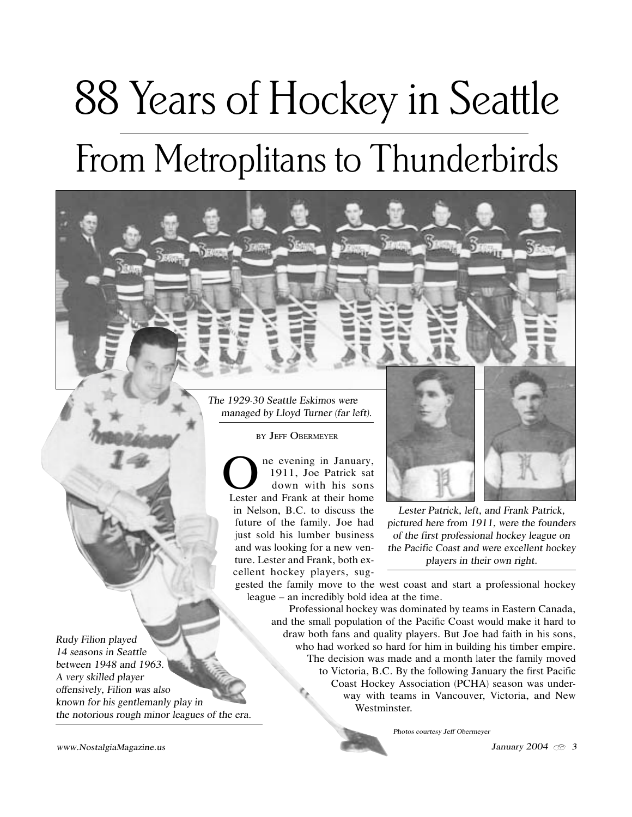# From Metroplitans to Thunderbirds 88 Years of Hockey in Seattle

Th<sup>e</sup> 1929-30 Seattl<sup>e</sup> Eskimo<sup>s</sup> <sup>w</sup>er<sup>e</sup> <sup>m</sup>anaged by Ll<sup>o</sup>yd Turne<sup>r</sup> (fa<sup>r</sup> left).

<sup>B</sup>Y JEFF OBERMEYER

**O** ne evening in January,<br>
1911, Joe Patrick sat<br>
down with his sons 1911, Joe Patrick sat Lester and Frank at their home in Nelson, B.C. to discuss the future of the family. Joe had just sold his lumber business and was looking for a new venture. Lester and Frank, both excellent hockey players, <sup>s</sup>ug-



Leste<sup>r</sup> Patrick, left, <sup>a</sup>nd Frank Patrick, pictured her<sup>e</sup> fro<sup>m</sup> 1911, <sup>w</sup>er<sup>e</sup> <sup>t</sup>h<sup>e</sup> f<sup>o</sup>u<sup>n</sup>der<sup>s</sup> <sup>o</sup>f <sup>t</sup>h<sup>e</sup> firs<sup>t</sup> professional hock<sup>e</sup>y leagu<sup>e</sup> on <sup>t</sup>h<sup>e</sup> Pacifi<sup>c</sup> Coas<sup>t</sup> <sup>a</sup>nd <sup>w</sup>er<sup>e</sup> <sup>e</sup>xcellen<sup>t</sup> hock<sup>e</sup>y pl<sup>a</sup>yer<sup>s</sup> i<sup>n</sup> <sup>t</sup>hei<sup>r</sup> <sup>o</sup>w<sup>n</sup> <sup>r</sup>ight.

gested the family move to the west coast and <sup>s</sup>tart a professional hockey league – an incredibly bold idea at the time.

Professional hockey was dominated by teams in Eastern Canada, and the small population of the Pacifi<sup>c</sup> Coast would make it hard to draw both fans and quality players. <sup>B</sup>ut Joe had faith in hi<sup>s</sup> sons, who had worked so hard for him in building hi<sup>s</sup> timber empire. The decision was made and a month later the family moved to Victoria, B.C. <sup>B</sup>y the following January the first Pacifi<sup>c</sup> Coast Hockey Association (PCHA) season was underway with teams in Vancouver, Victoria, and New Westminster.

Photo<sup>s</sup> <sup>c</sup>ourtesy Jeff Obermeye<sup>r</sup>

Rudy Filion pl<sup>a</sup>y<sup>e</sup>d 14 <sup>s</sup>eason<sup>s</sup> i<sup>n</sup> Seattl<sup>e</sup> betwee<sup>n</sup> 1948 <sup>a</sup>nd 1963. A <sup>v</sup>e<sup>r</sup>y <sup>s</sup>killed pl<sup>a</sup>ye<sup>r</sup> <sup>o</sup>ffensiv<sup>e</sup>ly, Filion <sup>w</sup>a<sup>s</sup> <sup>a</sup>ls<sup>o</sup> know<sup>n</sup> fo<sup>r</sup> hi<sup>s</sup> gentlemanly pl<sup>a</sup>y i<sup>n</sup> the notorious rough minor leagues of the era.

www.NostalgiaMagazine.us  $3 \times 3$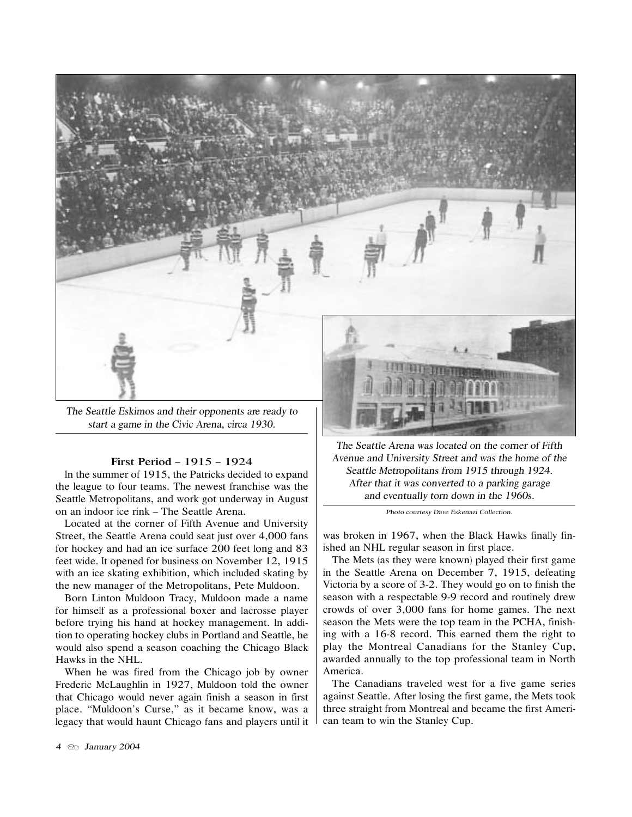

Th<sup>e</sup> Seattl<sup>e</sup> Eskimo<sup>s</sup> <sup>a</sup>nd <sup>t</sup>hei<sup>r</sup> <sup>o</sup>pponent<sup>s</sup> <sup>a</sup>r<sup>e</sup> <sup>r</sup>eady <sup>t</sup><sup>o</sup> <sup>s</sup>tar<sup>t</sup> <sup>a</sup> gam<sup>e</sup> i<sup>n</sup> <sup>t</sup>h<sup>e</sup> Civi<sup>c</sup> Arena, <sup>c</sup>irca 1930.

### First Period – 1915 – 1924

In the <sup>s</sup>ummer of 1915, the Patrick<sup>s</sup> decided to expand the league to four teams. The newest franchise was the Seattle Metropolitans, and work got underway in August on an indoor ice rink – The Seattle Arena.

Located at the corner of Fifth Avenue and University Street, the Seattle Arena could seat just over 4,000 fans for hockey and had an ice <sup>s</sup>urface 200 feet long and 83 feet wide. It opened for business on November 12, 1915 with an ice <sup>s</sup>kating exhibition, which included <sup>s</sup>kating by the new manager of the Metropolitans, Pete Muldoon.

Born Linton Muldoon Tracy, Muldoon made a name for himself as a professional boxer and lacrosse player before trying hi<sup>s</sup> hand at hockey management. In addition to operating hockey <sup>c</sup>lub<sup>s</sup> in Portland and Seattle, he would also spend a season coaching the Chicago <sup>B</sup>lack Hawk<sup>s</sup> in the NHL.

When he was fired from the Chicago job by owner Frederi<sup>c</sup> McLaughlin in 1927, Muldoon told the owner that Chicago would never again finish a season in first place. "Muldoon'<sup>s</sup> Curse," as it became know, was a legacy that would haunt Chicago fans and player<sup>s</sup> until it

Th<sup>e</sup> Seattl<sup>e</sup> Aren<sup>a</sup> <sup>w</sup>a<sup>s</sup> located on th<sup>e</sup> <sup>c</sup>orne<sup>r</sup> <sup>o</sup>f Fifth Avenu<sup>e</sup> <sup>a</sup>nd University Stree<sup>t</sup> <sup>a</sup>nd <sup>w</sup>a<sup>s</sup> <sup>t</sup>h<sup>e</sup> hom<sup>e</sup> <sup>o</sup>f <sup>t</sup>h<sup>e</sup> Seattl<sup>e</sup> Metropolitan<sup>s</sup> fro<sup>m</sup> 1915 <sup>t</sup>hrough 1924. Afte<sup>r</sup> <sup>t</sup>ha<sup>t</sup> i<sup>t</sup> <sup>w</sup>a<sup>s</sup> <sup>c</sup>onverted <sup>t</sup><sup>o</sup> <sup>a</sup> parking garage <sup>a</sup>nd <sup>e</sup>ventu<sup>a</sup>lly <sup>t</sup>or<sup>n</sup> d<sup>o</sup>w<sup>n</sup> i<sup>n</sup> <sup>t</sup>h<sup>e</sup> 1960<sup>s</sup>.

Phot<sup>o</sup> <sup>c</sup>ourtesy Dav<sup>e</sup> Eskenazi Collection.

was broken in 1967, when the <sup>B</sup>lack Hawk<sup>s</sup> finally finished an NHL regular season in first place.

The Met<sup>s</sup> (as they were known) played their first game in the Seattle Arena on December 7, 1915, defeating Victoria by a score of 3-2. They would go on to finish the season with a respectable 9-9 record and routinely drew <sup>c</sup>rowd<sup>s</sup> of over 3,000 fans for home games. The next season the Met<sup>s</sup> were the top team in the PCHA, finishing with a 16-8 record. Thi<sup>s</sup> earned them the right to play the Montreal Canadians for the Stanley Cup, awarded annually to the top professional team in North America.

The Canadians traveled west for a five game series against Seattle. After losing the first game, the Met<sup>s</sup> took three <sup>s</sup>traight from Montreal and became the first American team to win the Stanley Cup.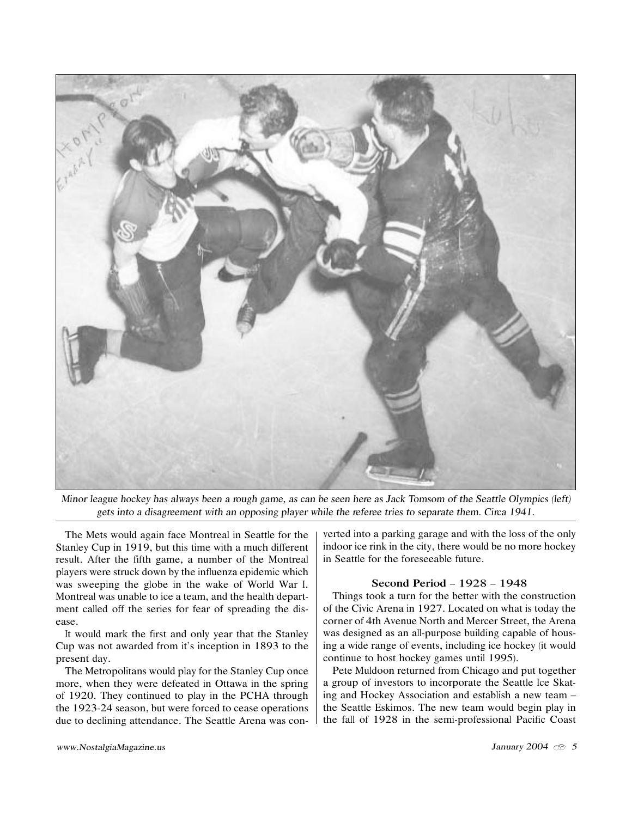

Mino<sup>r</sup> leagu<sup>e</sup> hock<sup>e</sup>y ha<sup>s</sup> <sup>a</sup>lway<sup>s</sup> bee<sup>n</sup> <sup>a</sup> <sup>r</sup>ough game, <sup>a</sup><sup>s</sup> ca<sup>n</sup> b<sup>e</sup> <sup>s</sup>ee<sup>n</sup> her<sup>e</sup> <sup>a</sup><sup>s</sup> Jack Tomso<sup>m</sup> <sup>o</sup>f <sup>t</sup>h<sup>e</sup> Seattl<sup>e</sup> Oly<sup>m</sup>pic<sup>s</sup> (left) get<sup>s</sup> int<sup>o</sup> <sup>a</sup> disagreemen<sup>t</sup> <sup>w</sup>ith <sup>a</sup><sup>n</sup> <sup>o</sup>pposing pl<sup>a</sup>ye<sup>r</sup> <sup>w</sup>hil<sup>e</sup> <sup>t</sup>h<sup>e</sup> <sup>r</sup>eferee <sup>t</sup>rie<sup>s</sup> <sup>t</sup><sup>o</sup> <sup>s</sup>eparat<sup>e</sup> <sup>t</sup>hem. Circa 1941.

The Met<sup>s</sup> would again face Montreal in Seattle for the Stanley Cup in 1919, but thi<sup>s</sup> time with a much different result. After the fifth game, a number of the Montreal player<sup>s</sup> were <sup>s</sup>truck down by the influenza epidemi<sup>c</sup> which was <sup>s</sup>weeping the <sup>g</sup>lobe in the wake of World War I. Montreal was unable to ice a team, and the health department called off the series for fear of spreading the disease.

It would mark the first and only year that the Stanley Cup was not awarded from it'<sup>s</sup> inception in 1893 to the present day.

The Metropolitans would play for the Stanley Cup once more, when they were defeated in Ottawa in the spring of 1920. They continued to play in the PCHA through the 1923-24 season, but were forced to cease operations due to declining attendance. The Seattle Arena was converted into a parking garage and with the loss of the only indoor ice rink in the <sup>c</sup>ity, there would be no more hockey in Seattle for the foreseeable future.

#### Second Period – 1928 – 1948

Things took a turn for the better with the construction of the Civi<sup>c</sup> Arena in 1927. Located on what i<sup>s</sup> today the corner of 4th Avenue North and Mercer Street, the Arena was designed as an all-purpose building capable of housing a wide range of events, including ice hockey (it would continue to host hockey games until 1995).

Pete Muldoon returned from Chicago and put together a <sup>g</sup>roup of investor<sup>s</sup> to incorporate the Seattle Ice Skating and Hockey Association and establish a new team – the Seattle Eskimos. The new team would begin play in the fall of 1928 in the semi-professional Pacific Coast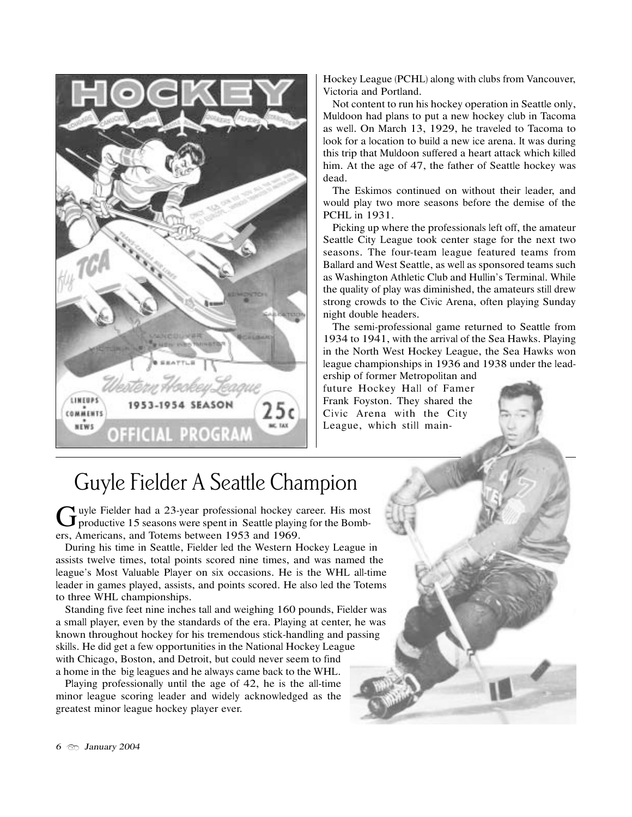

Hockey League (PCHL) along with <sup>c</sup>lub<sup>s</sup> from Vancouver, Victoria and Portland.

Not content to run hi<sup>s</sup> hockey operation in Seattle only, Muldoon had plans to put a new hockey <sup>c</sup>lub in Tacoma as well. On March 13, 1929, he traveled to Tacoma to look for a location to build a new ice arena. It was during thi<sup>s</sup> trip that Muldoon <sup>s</sup>uffered a heart attack which killed him. At the age of 47, the father of Seattle hockey was dead.

The Eskimos continued on without their leader, and would play two more seasons before the demise of the PCHL in 1931.

Picking up where the professional<sup>s</sup> left off, the amateur Seattle City League took center <sup>s</sup>tage for the next two seasons. The four-team league featured teams from Ballard and West Seattle, as well as sponsored teams <sup>s</sup>uch as Washington Athleti<sup>c</sup> Club and Hullin'<sup>s</sup> Terminal. While the quality of play was diminished, the amateur<sup>s</sup> <sup>s</sup>till drew <sup>s</sup>trong <sup>c</sup>rowd<sup>s</sup> to the Civi<sup>c</sup> Arena, often playing Sunday night double headers.

The semi-professional game returned to Seattle from 1934 to 1941, with the arrival of the Sea Hawks. Playing in the North West Hockey League, the Sea Hawk<sup>s</sup> won league championships in 1936 and 1938 under the lead-

ership of former Metropolitan and future Hockey Hall of Famer Frank Foyston. They shared the Civi<sup>c</sup> Arena with the City League, which <sup>s</sup>till main-

## Guyle Fielder A Seattle Champion

Guyle Fielder had a 23-year professional hockey career. His most productive 15 seasons were spent in Seattle playing for the Bombers, Americans, and Totems between 1953 and 1969.

<sup>D</sup>uring hi<sup>s</sup> time in Seattle, Fielder led the Western Hockey League in assist<sup>s</sup> twelve times, total point<sup>s</sup> scored nine times, and was named the league'<sup>s</sup> Most Valuable Player on <sup>s</sup>ix occasions. He i<sup>s</sup> the WHL all-time leader in games played, assists, and points scored. He also led the Totems to three WHL championships.

Standing five feet nine inches tall and weighing 160 pounds, Fielder was a small player, even by the <sup>s</sup>tandard<sup>s</sup> of the era. Playing at center, he was known throughout hockey for hi<sup>s</sup> tremendou<sup>s</sup> <sup>s</sup>tick-handling and passing <sup>s</sup>kills. He did get a few opportunities in the National Hockey League with Chicago, Boston, and Detroit, but could never seem to find a home in the bi<sup>g</sup> leagues and he alway<sup>s</sup> came back to the WHL.

Playing professionally until the age of 42, he is the all-time minor league scoring leader and widely acknowledged as the <sup>g</sup>reatest minor league hockey player ever.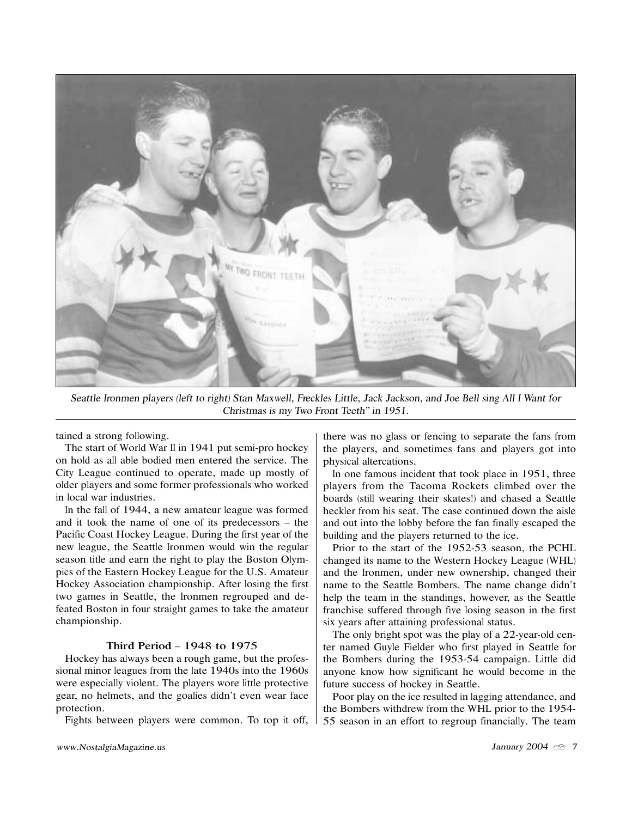

Seattl<sup>e</sup> Ironme<sup>n</sup> pl<sup>a</sup>yer<sup>s</sup> (lef<sup>t</sup> <sup>t</sup><sup>o</sup> <sup>r</sup>ight) Sta<sup>n</sup> Maxw<sup>e</sup>ll, Freckle<sup>s</sup> Littl<sup>e</sup>, Jack Jackson, <sup>a</sup>nd Jo<sup>e</sup> Bell <sup>s</sup>ing All I Wan<sup>t</sup> fo<sup>r</sup> Christma<sup>s</sup> i<sup>s</sup> <sup>m</sup>y Tw<sup>o</sup> Fron<sup>t</sup> Teeth" i<sup>n</sup> 1951.

tained a <sup>s</sup>trong following.

The <sup>s</sup>tart of World War II in 1941 put semi-pro hockey on hold as all able bodied men entered the service. The City League continued to operate, made up mostly of older player<sup>s</sup> and some former professional<sup>s</sup> who worked in local war industries.

In the fall of 1944, a new amateur league was formed and it took the name of one of it<sup>s</sup> predecessor<sup>s</sup> – the Pacifi<sup>c</sup> Coast Hockey League. <sup>D</sup>uring the first year of the new league, the Seattle Ironmen would win the regular season title and earn the right to play the Boston Olympics of the Eastern Hockey League for the U.S. Amateur Hockey Association championship. After losing the first two games in Seattle, the Ironmen regrouped and defeated Boston in four <sup>s</sup>traight games to take the amateur championship.

#### Third Period – 1948 to 1975

Hockey has alway<sup>s</sup> been a rough game, but the professional minor leagues from the late 1940s into the 1960s were especially violent. The player<sup>s</sup> wore little protective gear, no helmets, and the goalies didn't even wear face protection.

Fight<sup>s</sup> between player<sup>s</sup> were common. To top it off,

there was no <sup>g</sup>lass or fencing to separate the fans from the players, and sometimes fans and players got into physical altercations.

In one famou<sup>s</sup> incident that took place in 1951, three player<sup>s</sup> from the Tacoma Rocket<sup>s</sup> <sup>c</sup>limbed over the board<sup>s</sup> (still wearing their <sup>s</sup>kates!) and chased a Seattle heckler from hi<sup>s</sup> seat. The case continued down the aisle and out into the lobby before the fan finally escaped the building and the players returned to the ice.

Prior to the <sup>s</sup>tart of the 1952-53 season, the PCHL changed it<sup>s</sup> name to the Western Hockey League (WHL) and the Ironmen, under new ownership, changed their name to the Seattle Bombers. The name change didn't help the team in the <sup>s</sup>tandings, however, as the Seattle franchise suffered through five losing season in the first <sup>s</sup>ix year<sup>s</sup> after attaining professional <sup>s</sup>tatus.

The only bright spot was the play of a 22-year-old center named Guyle Fielder who first played in Seattle for the Bomber<sup>s</sup> during the 1953-54 campaign. Little did anyone know how <sup>s</sup>ignificant he would become in the future <sup>s</sup>uccess of hockey in Seattle.

Poor play on the ice resulted in lagging attendance, and the Bomber<sup>s</sup> withdrew from the WHL prior to the 1954- 55 season in an effort to regroup financially. The team